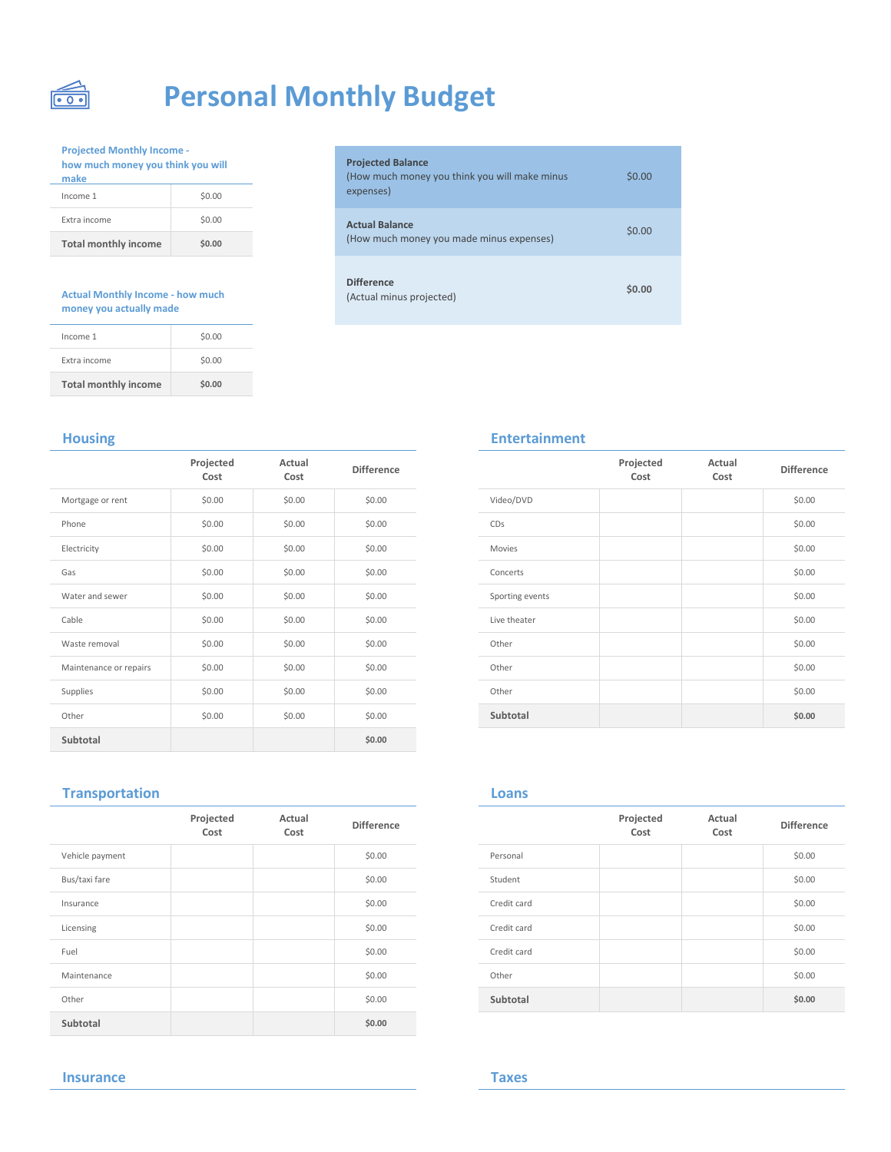

# **Personal Monthly Budget**

**Projected Monthly Income how much money you think you will** 

| <b>Total monthly income</b> | \$0.00 | (How much mone        |
|-----------------------------|--------|-----------------------|
| Extra income                | \$0.00 | <b>Actual Balance</b> |
| Income 1                    | \$0.00 | expenses)             |
| make                        |        | (How much mone        |

### **Actual Monthly Income - how much money you actually made**

| <b>Total monthly income</b> | \$0.00 |
|-----------------------------|--------|
| Extra income                | \$0.00 |
| Income 1                    | \$0.00 |

| <b>Projected Monthly Income -</b><br>how much money you think you will<br>make |        | <b>Projected Balance</b><br>(How much money you think you will make minus |
|--------------------------------------------------------------------------------|--------|---------------------------------------------------------------------------|
| Income 1                                                                       | \$0.00 | expenses)                                                                 |
| Extra income                                                                   | \$0.00 | <b>Actual Balance</b>                                                     |
| <b>Total monthly income</b>                                                    | \$0.00 | (How much money you made minus expenses)                                  |
|                                                                                |        |                                                                           |
| <b>Actual Monthly Income - how much</b>                                        |        | <b>Difference</b><br>(Actual minus projected)                             |

|                        | Projected<br>Cost | Actual<br>Cost | <b>Difference</b> |                 | Projected<br>Cost | Actual<br>Cost | Differer |
|------------------------|-------------------|----------------|-------------------|-----------------|-------------------|----------------|----------|
| Mortgage or rent       | \$0.00            | \$0.00         | \$0.00            | Video/DVD       |                   |                | \$0.00   |
| Phone                  | \$0.00            | \$0.00         | \$0.00            | CDs             |                   |                | \$0.00   |
| Electricity            | \$0.00            | \$0.00         | \$0.00            | Movies          |                   |                | \$0.00   |
| Gas                    | \$0.00            | \$0.00         | \$0.00            | Concerts        |                   |                | \$0.00   |
| Water and sewer        | \$0.00            | \$0.00         | \$0.00            | Sporting events |                   |                | \$0.00   |
| Cable                  | \$0.00            | \$0.00         | \$0.00            | Live theater    |                   |                | \$0.00   |
| Waste removal          | \$0.00            | \$0.00         | \$0.00            | Other           |                   |                | \$0.00   |
| Maintenance or repairs | \$0.00            | \$0.00         | \$0.00            | Other           |                   |                | \$0.00   |
| Supplies               | \$0.00            | \$0.00         | \$0.00            | Other           |                   |                | \$0.00   |
| Other                  | \$0.00            | \$0.00         | \$0.00            | Subtotal        |                   |                | \$0.00   |
| Subtotal               |                   |                | \$0.00            |                 |                   |                |          |

# **Housing Entertainment**

|                 | Projected<br>Cost | Actual<br>Cost | <b>Difference</b> |
|-----------------|-------------------|----------------|-------------------|
| Video/DVD       |                   |                | \$0.00            |
| CDs             |                   |                | \$0.00            |
| Movies          |                   |                | \$0.00            |
| Concerts        |                   |                | \$0.00            |
| Sporting events |                   |                | \$0.00            |
| Live theater    |                   |                | \$0.00            |
| Other           |                   |                | \$0.00            |
| Other           |                   |                | \$0.00            |
| Other           |                   |                | \$0.00            |
| Subtotal        |                   |                | \$0.00            |

# **Transportation**

|                 | Projected<br>Cost | Actual<br>Cost | <b>Difference</b> |             | Projected<br>Cost | Actual<br>Cost | Differer |
|-----------------|-------------------|----------------|-------------------|-------------|-------------------|----------------|----------|
| Vehicle payment |                   |                | \$0.00            | Personal    |                   |                | \$0.00   |
| Bus/taxi fare   |                   |                | \$0.00            | Student     |                   |                | \$0.00   |
| Insurance       |                   |                | \$0.00            | Credit card |                   |                | \$0.00   |
| Licensing       |                   |                | \$0.00            | Credit card |                   |                | \$0.00   |
| Fuel            |                   |                | \$0.00            | Credit card |                   |                | \$0.00   |
| Maintenance     |                   |                | \$0.00            | Other       |                   |                | \$0.00   |
| Other           |                   |                | \$0.00            | Subtotal    |                   |                | \$0.00   |
| Subtotal        |                   |                | \$0.00            |             |                   |                |          |

## **Loans**

|             | Projected<br>Cost | Actual<br>Cost | <b>Difference</b> |
|-------------|-------------------|----------------|-------------------|
| Personal    |                   |                | \$0.00            |
| Student     |                   |                | \$0.00            |
| Credit card |                   |                | \$0.00            |
| Credit card |                   |                | \$0.00            |
| Credit card |                   |                | \$0.00            |
| Other       |                   |                | \$0.00            |
| Subtotal    |                   |                | \$0.00            |